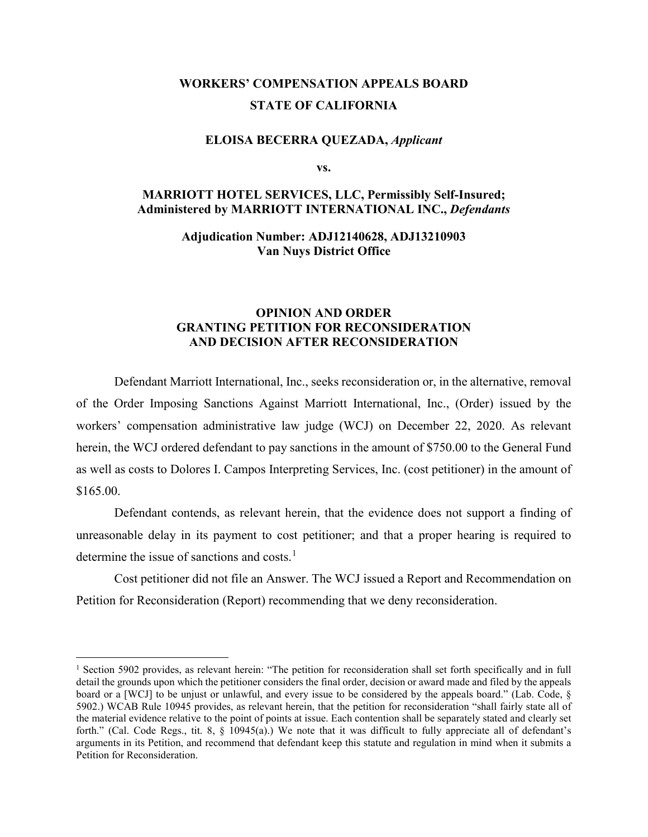# **WORKERS' COMPENSATION APPEALS BOARD STATE OF CALIFORNIA**

#### **ELOISA BECERRA QUEZADA,** *Applicant*

**vs.**

# **MARRIOTT HOTEL SERVICES, LLC, Permissibly Self-Insured; Administered by MARRIOTT INTERNATIONAL INC.,** *Defendants*

### **Adjudication Number: ADJ12140628, ADJ13210903 Van Nuys District Office**

## **OPINION AND ORDER GRANTING PETITION FOR RECONSIDERATION AND DECISION AFTER RECONSIDERATION**

Defendant Marriott International, Inc., seeks reconsideration or, in the alternative, removal of the Order Imposing Sanctions Against Marriott International, Inc., (Order) issued by the workers' compensation administrative law judge (WCJ) on December 22, 2020. As relevant herein, the WCJ ordered defendant to pay sanctions in the amount of \$750.00 to the General Fund as well as costs to Dolores I. Campos Interpreting Services, Inc. (cost petitioner) in the amount of \$165.00.

Defendant contends, as relevant herein, that the evidence does not support a finding of unreasonable delay in its payment to cost petitioner; and that a proper hearing is required to determine the issue of sanctions and costs.<sup>[1](#page-0-0)</sup>

Cost petitioner did not file an Answer. The WCJ issued a Report and Recommendation on Petition for Reconsideration (Report) recommending that we deny reconsideration.

<span id="page-0-0"></span><sup>&</sup>lt;sup>1</sup> Section 5902 provides, as relevant herein: "The petition for reconsideration shall set forth specifically and in full detail the grounds upon which the petitioner considers the final order, decision or award made and filed by the appeals board or a [WCJ] to be unjust or unlawful, and every issue to be considered by the appeals board." (Lab. Code, § 5902.) WCAB Rule 10945 provides, as relevant herein, that the petition for reconsideration "shall fairly state all of the material evidence relative to the point of points at issue. Each contention shall be separately stated and clearly set forth." (Cal. Code Regs., tit. 8,  $\S$  10945(a).) We note that it was difficult to fully appreciate all of defendant's arguments in its Petition, and recommend that defendant keep this statute and regulation in mind when it submits a Petition for Reconsideration.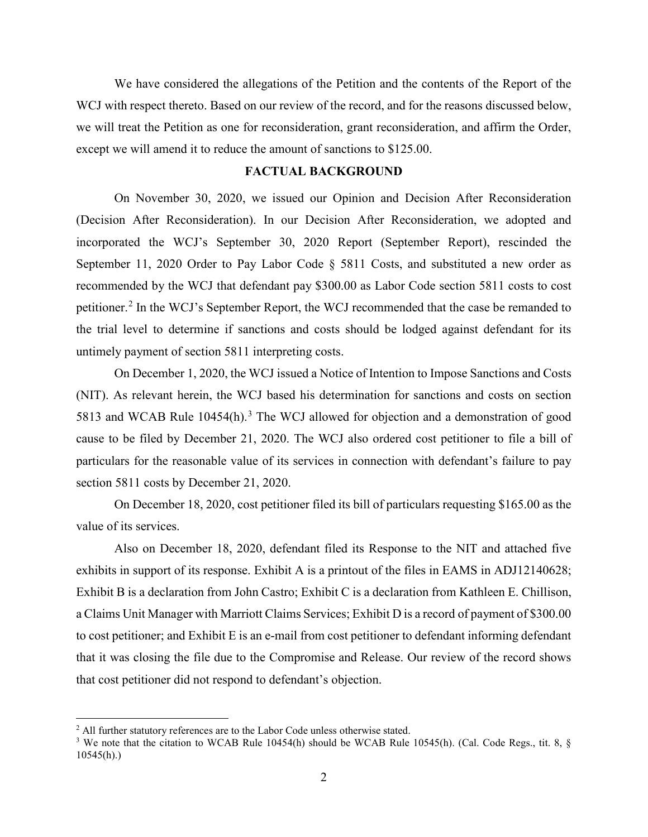We have considered the allegations of the Petition and the contents of the Report of the WCJ with respect thereto. Based on our review of the record, and for the reasons discussed below, we will treat the Petition as one for reconsideration, grant reconsideration, and affirm the Order, except we will amend it to reduce the amount of sanctions to \$125.00.

### **FACTUAL BACKGROUND**

On November 30, 2020, we issued our Opinion and Decision After Reconsideration (Decision After Reconsideration). In our Decision After Reconsideration, we adopted and incorporated the WCJ's September 30, 2020 Report (September Report), rescinded the September 11, 2020 Order to Pay Labor Code § 5811 Costs, and substituted a new order as recommended by the WCJ that defendant pay \$300.00 as Labor Code section 5811 costs to cost petitioner.<sup>[2](#page-1-0)</sup> In the WCJ's September Report, the WCJ recommended that the case be remanded to the trial level to determine if sanctions and costs should be lodged against defendant for its untimely payment of section 5811 interpreting costs.

On December 1, 2020, the WCJ issued a Notice of Intention to Impose Sanctions and Costs (NIT). As relevant herein, the WCJ based his determination for sanctions and costs on section 581[3](#page-1-1) and WCAB Rule 10454(h).<sup>3</sup> The WCJ allowed for objection and a demonstration of good cause to be filed by December 21, 2020. The WCJ also ordered cost petitioner to file a bill of particulars for the reasonable value of its services in connection with defendant's failure to pay section 5811 costs by December 21, 2020.

On December 18, 2020, cost petitioner filed its bill of particulars requesting \$165.00 as the value of its services.

Also on December 18, 2020, defendant filed its Response to the NIT and attached five exhibits in support of its response. Exhibit A is a printout of the files in EAMS in ADJ12140628; Exhibit B is a declaration from John Castro; Exhibit C is a declaration from Kathleen E. Chillison, a Claims Unit Manager with Marriott Claims Services; Exhibit D is a record of payment of \$300.00 to cost petitioner; and Exhibit E is an e-mail from cost petitioner to defendant informing defendant that it was closing the file due to the Compromise and Release. Our review of the record shows that cost petitioner did not respond to defendant's objection.

<span id="page-1-0"></span><sup>&</sup>lt;sup>2</sup> All further statutory references are to the Labor Code unless otherwise stated.

<span id="page-1-1"></span><sup>&</sup>lt;sup>3</sup> We note that the citation to WCAB Rule 10454(h) should be WCAB Rule 10545(h). (Cal. Code Regs., tit. 8, § 10545(h).)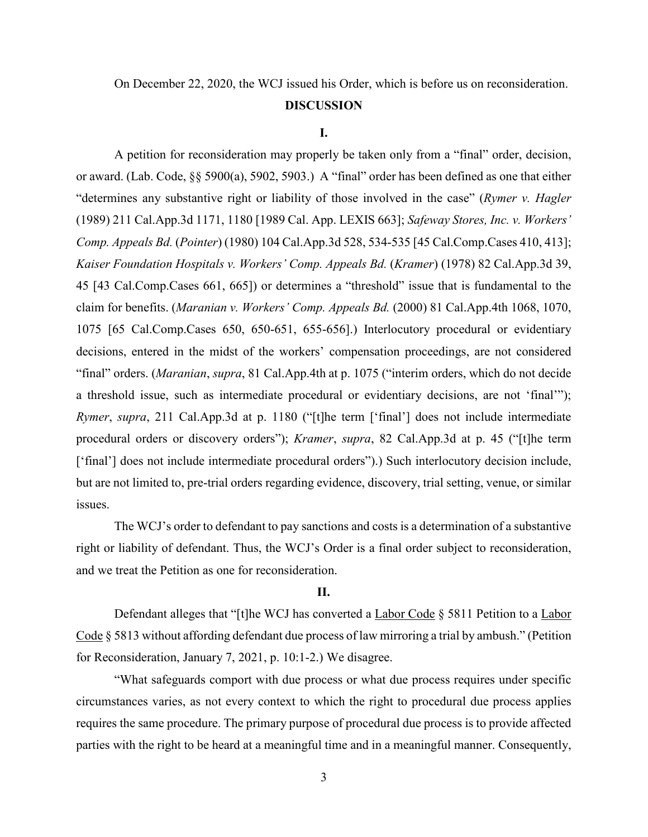# On December 22, 2020, the WCJ issued his Order, which is before us on reconsideration.

### **DISCUSSION**

#### **I.**

A petition for reconsideration may properly be taken only from a "final" order, decision, or award. (Lab. Code, §§ 5900(a), 5902, 5903.) A "final" order has been defined as one that either "determines any substantive right or liability of those involved in the case" (*Rymer v. Hagler* (1989) 211 Cal.App.3d 1171, 1180 [1989 Cal. App. LEXIS 663]; *Safeway Stores, Inc. v. Workers' Comp. Appeals Bd.* (*Pointer*) (1980) 104 Cal.App.3d 528, 534-535 [45 Cal.Comp.Cases 410, 413]; *Kaiser Foundation Hospitals v. Workers' Comp. Appeals Bd.* (*Kramer*) (1978) 82 Cal.App.3d 39, 45 [43 Cal.Comp.Cases 661, 665]) or determines a "threshold" issue that is fundamental to the claim for benefits. (*Maranian v. Workers' Comp. Appeals Bd.* (2000) 81 Cal.App.4th 1068, 1070, 1075 [65 Cal.Comp.Cases 650, 650-651, 655-656].) Interlocutory procedural or evidentiary decisions, entered in the midst of the workers' compensation proceedings, are not considered "final" orders. (*Maranian*, *supra*, 81 Cal.App.4th at p. 1075 ("interim orders, which do not decide a threshold issue, such as intermediate procedural or evidentiary decisions, are not 'final'"); *Rymer*, *supra*, 211 Cal.App.3d at p. 1180 ("[t]he term ['final'] does not include intermediate procedural orders or discovery orders"); *Kramer*, *supra*, 82 Cal.App.3d at p. 45 ("[t]he term ['final'] does not include intermediate procedural orders").) Such interlocutory decision include, but are not limited to, pre-trial orders regarding evidence, discovery, trial setting, venue, or similar issues.

The WCJ's order to defendant to pay sanctions and costs is a determination of a substantive right or liability of defendant. Thus, the WCJ's Order is a final order subject to reconsideration, and we treat the Petition as one for reconsideration.

### **II.**

Defendant alleges that "[t]he WCJ has converted a Labor Code § 5811 Petition to a Labor Code § 5813 without affording defendant due process of law mirroring a trial by ambush." (Petition for Reconsideration, January 7, 2021, p. 10:1-2.) We disagree.

"What safeguards comport with due process or what due process requires under specific circumstances varies, as not every context to which the right to procedural due process applies requires the same procedure. The primary purpose of procedural due process is to provide affected parties with the right to be heard at a meaningful time and in a meaningful manner. Consequently,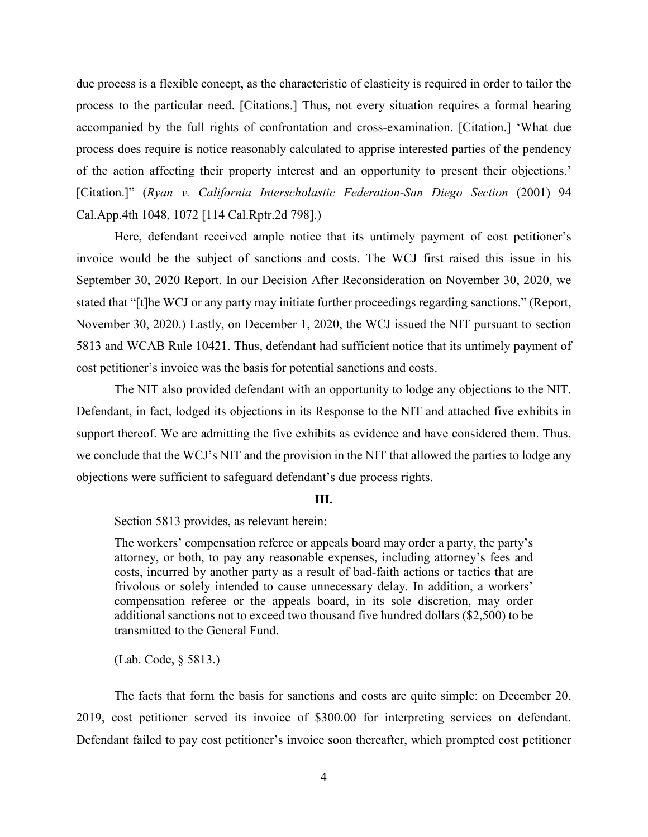due process is a flexible concept, as the characteristic of elasticity is required in order to tailor the process to the particular need. [Citations.] Thus, not every situation requires a formal hearing accompanied by the full rights of confrontation and cross-examination. [Citation.] 'What due process does require is notice reasonably calculated to apprise interested parties of the pendency of the action affecting their property interest and an opportunity to present their objections.' [Citation.]" (*Ryan v. California Interscholastic Federation-San Diego Section* (2001) 94 Cal.App.4th 1048, 1072 [114 Cal.Rptr.2d 798].)

Here, defendant received ample notice that its untimely payment of cost petitioner's invoice would be the subject of sanctions and costs. The WCJ first raised this issue in his September 30, 2020 Report. In our Decision After Reconsideration on November 30, 2020, we stated that "[t]he WCJ or any party may initiate further proceedings regarding sanctions." (Report, November 30, 2020.) Lastly, on December 1, 2020, the WCJ issued the NIT pursuant to section 5813 and WCAB Rule 10421. Thus, defendant had sufficient notice that its untimely payment of cost petitioner's invoice was the basis for potential sanctions and costs.

The NIT also provided defendant with an opportunity to lodge any objections to the NIT. Defendant, in fact, lodged its objections in its Response to the NIT and attached five exhibits in support thereof. We are admitting the five exhibits as evidence and have considered them. Thus, we conclude that the WCJ's NIT and the provision in the NIT that allowed the parties to lodge any objections were sufficient to safeguard defendant's due process rights.

#### **III.**

Section 5813 provides, as relevant herein:

The workers' compensation referee or appeals board may order a party, the party's attorney, or both, to pay any reasonable expenses, including attorney's fees and costs, incurred by another party as a result of bad-faith actions or tactics that are frivolous or solely intended to cause unnecessary delay. In addition, a workers' compensation referee or the appeals board, in its sole discretion, may order additional sanctions not to exceed two thousand five hundred dollars (\$2,500) to be transmitted to the General Fund.

(Lab. Code, § 5813.)

The facts that form the basis for sanctions and costs are quite simple: on December 20, 2019, cost petitioner served its invoice of \$300.00 for interpreting services on defendant. Defendant failed to pay cost petitioner's invoice soon thereafter, which prompted cost petitioner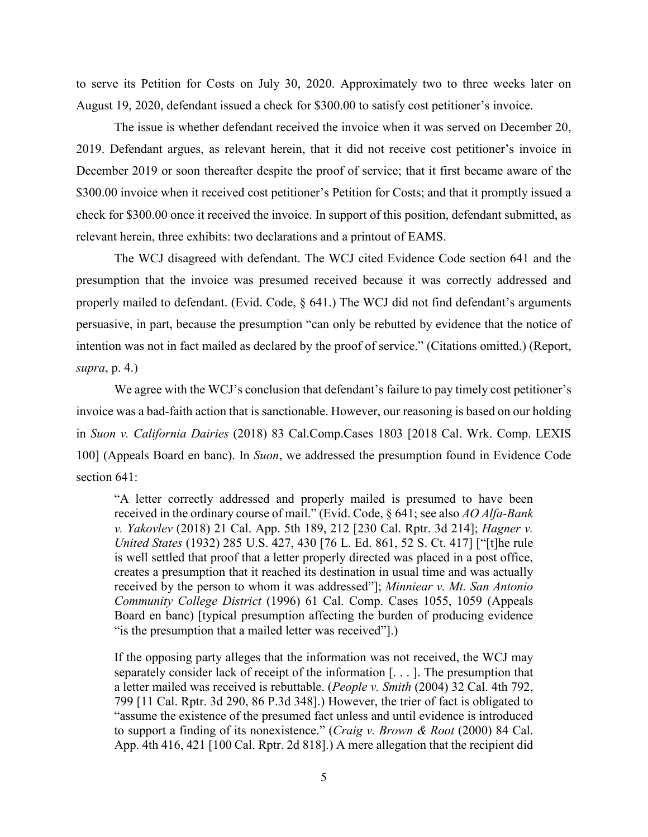to serve its Petition for Costs on July 30, 2020. Approximately two to three weeks later on August 19, 2020, defendant issued a check for \$300.00 to satisfy cost petitioner's invoice.

The issue is whether defendant received the invoice when it was served on December 20, 2019. Defendant argues, as relevant herein, that it did not receive cost petitioner's invoice in December 2019 or soon thereafter despite the proof of service; that it first became aware of the \$300.00 invoice when it received cost petitioner's Petition for Costs; and that it promptly issued a check for \$300.00 once it received the invoice. In support of this position, defendant submitted, as relevant herein, three exhibits: two declarations and a printout of EAMS.

The WCJ disagreed with defendant. The WCJ cited Evidence Code section 641 and the presumption that the invoice was presumed received because it was correctly addressed and properly mailed to defendant. (Evid. Code, § 641.) The WCJ did not find defendant's arguments persuasive, in part, because the presumption "can only be rebutted by evidence that the notice of intention was not in fact mailed as declared by the proof of service." (Citations omitted.) (Report, *supra*, p. 4.)

We agree with the WCJ's conclusion that defendant's failure to pay timely cost petitioner's invoice was a bad-faith action that is sanctionable. However, our reasoning is based on our holding in *Suon v. California Dairies* (2018) 83 Cal.Comp.Cases 1803 [2018 Cal. Wrk. Comp. LEXIS 100] (Appeals Board en banc). In *Suon*, we addressed the presumption found in Evidence Code section 641:

"A letter correctly addressed and properly mailed is presumed to have been received in the ordinary course of mail." (Evid. Code, § 641; see also *AO Alfa-Bank v. Yakovlev* (2018) 21 Cal. App. 5th 189, 212 [230 Cal. Rptr. 3d 214]; *Hagner v. United States* (1932) 285 U.S. 427, 430 [76 L. Ed. 861, 52 S. Ct. 417] ["[t]he rule is well settled that proof that a letter properly directed was placed in a post office, creates a presumption that it reached its destination in usual time and was actually received by the person to whom it was addressed"]; *Minniear v. Mt. San Antonio Community College District* (1996) 61 Cal. Comp. Cases 1055, 1059 (Appeals Board en banc) [typical presumption affecting the burden of producing evidence "is the presumption that a mailed letter was received"].)

If the opposing party alleges that the information was not received, the WCJ may separately consider lack of receipt of the information [. . . ]. The presumption that a letter mailed was received is rebuttable. (*People v. Smith* (2004) 32 Cal. 4th 792, 799 [11 Cal. Rptr. 3d 290, 86 P.3d 348].) However, the trier of fact is obligated to "assume the existence of the presumed fact unless and until evidence is introduced to support a finding of its nonexistence." (*Craig v. Brown & Root* (2000) 84 Cal. App. 4th 416, 421 [100 Cal. Rptr. 2d 818].) A mere allegation that the recipient did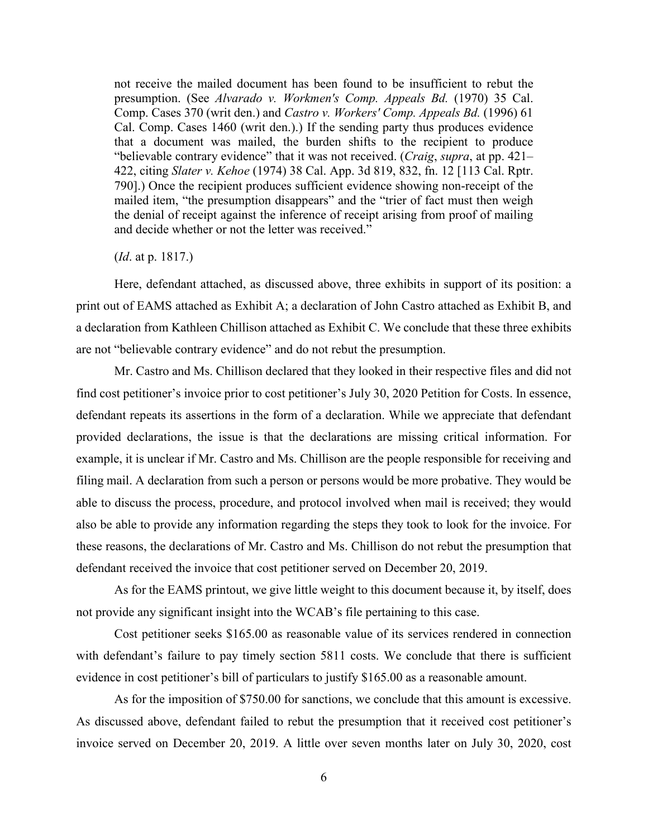not receive the mailed document has been found to be insufficient to rebut the presumption. (See *Alvarado v. Workmen's Comp. Appeals Bd.* (1970) 35 Cal. Comp. Cases 370 (writ den.) and *Castro v. Workers' Comp. Appeals Bd.* (1996) 61 Cal. Comp. Cases 1460 (writ den.).) If the sending party thus produces evidence that a document was mailed, the burden shifts to the recipient to produce "believable contrary evidence" that it was not received. (*Craig*, *supra*, at pp. 421– 422, citing *Slater v. Kehoe* (1974) 38 Cal. App. 3d 819, 832, fn. 12 [113 Cal. Rptr. 790].) Once the recipient produces sufficient evidence showing non-receipt of the mailed item, "the presumption disappears" and the "trier of fact must then weigh the denial of receipt against the inference of receipt arising from proof of mailing and decide whether or not the letter was received."

(*Id*. at p. 1817.)

Here, defendant attached, as discussed above, three exhibits in support of its position: a print out of EAMS attached as Exhibit A; a declaration of John Castro attached as Exhibit B, and a declaration from Kathleen Chillison attached as Exhibit C. We conclude that these three exhibits are not "believable contrary evidence" and do not rebut the presumption.

Mr. Castro and Ms. Chillison declared that they looked in their respective files and did not find cost petitioner's invoice prior to cost petitioner's July 30, 2020 Petition for Costs. In essence, defendant repeats its assertions in the form of a declaration. While we appreciate that defendant provided declarations, the issue is that the declarations are missing critical information. For example, it is unclear if Mr. Castro and Ms. Chillison are the people responsible for receiving and filing mail. A declaration from such a person or persons would be more probative. They would be able to discuss the process, procedure, and protocol involved when mail is received; they would also be able to provide any information regarding the steps they took to look for the invoice. For these reasons, the declarations of Mr. Castro and Ms. Chillison do not rebut the presumption that defendant received the invoice that cost petitioner served on December 20, 2019.

As for the EAMS printout, we give little weight to this document because it, by itself, does not provide any significant insight into the WCAB's file pertaining to this case.

Cost petitioner seeks \$165.00 as reasonable value of its services rendered in connection with defendant's failure to pay timely section 5811 costs. We conclude that there is sufficient evidence in cost petitioner's bill of particulars to justify \$165.00 as a reasonable amount.

As for the imposition of \$750.00 for sanctions, we conclude that this amount is excessive. As discussed above, defendant failed to rebut the presumption that it received cost petitioner's invoice served on December 20, 2019. A little over seven months later on July 30, 2020, cost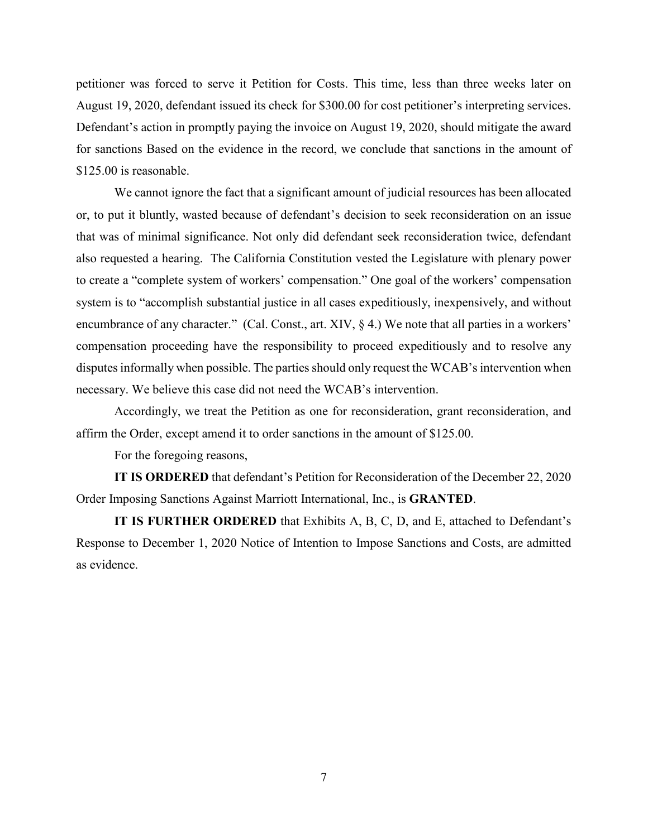petitioner was forced to serve it Petition for Costs. This time, less than three weeks later on August 19, 2020, defendant issued its check for \$300.00 for cost petitioner's interpreting services. Defendant's action in promptly paying the invoice on August 19, 2020, should mitigate the award for sanctions Based on the evidence in the record, we conclude that sanctions in the amount of \$125.00 is reasonable.

We cannot ignore the fact that a significant amount of judicial resources has been allocated or, to put it bluntly, wasted because of defendant's decision to seek reconsideration on an issue that was of minimal significance. Not only did defendant seek reconsideration twice, defendant also requested a hearing. The California Constitution vested the Legislature with plenary power to create a "complete system of workers' compensation." One goal of the workers' compensation system is to "accomplish substantial justice in all cases expeditiously, inexpensively, and without encumbrance of any character." (Cal. Const., art. XIV, § 4.) We note that all parties in a workers' compensation proceeding have the responsibility to proceed expeditiously and to resolve any disputes informally when possible. The parties should only request the WCAB's intervention when necessary. We believe this case did not need the WCAB's intervention.

Accordingly, we treat the Petition as one for reconsideration, grant reconsideration, and affirm the Order, except amend it to order sanctions in the amount of \$125.00.

For the foregoing reasons,

**IT IS ORDERED** that defendant's Petition for Reconsideration of the December 22, 2020 Order Imposing Sanctions Against Marriott International, Inc., is **GRANTED**.

**IT IS FURTHER ORDERED** that Exhibits A, B, C, D, and E, attached to Defendant's Response to December 1, 2020 Notice of Intention to Impose Sanctions and Costs, are admitted as evidence.

7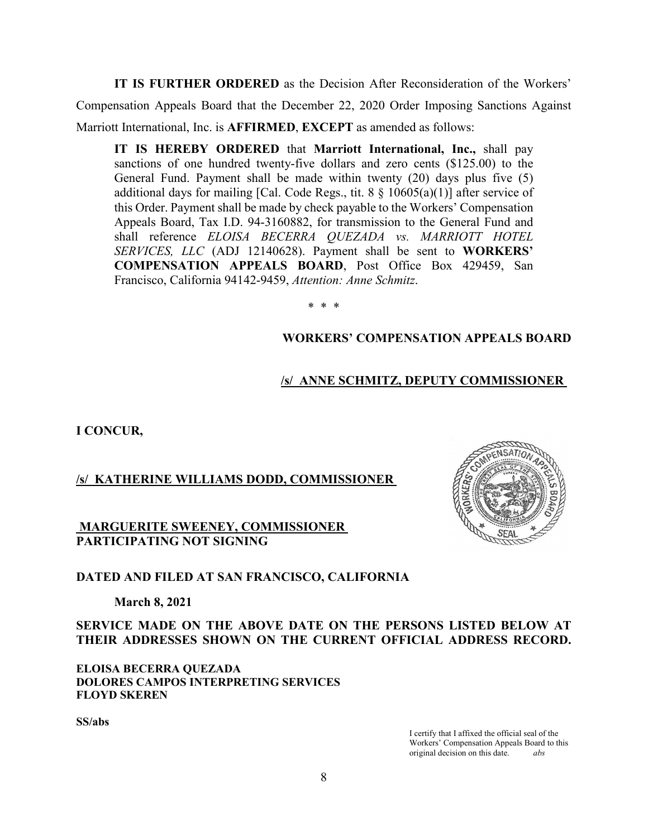**IT IS FURTHER ORDERED** as the Decision After Reconsideration of the Workers' Compensation Appeals Board that the December 22, 2020 Order Imposing Sanctions Against Marriott International, Inc. is **AFFIRMED**, **EXCEPT** as amended as follows:

**IT IS HEREBY ORDERED** that **Marriott International, Inc.,** shall pay sanctions of one hundred twenty-five dollars and zero cents (\$125.00) to the General Fund. Payment shall be made within twenty (20) days plus five (5) additional days for mailing [Cal. Code Regs., tit.  $8 \; \text{\{ }10605(a)(1)]}$  after service of this Order. Payment shall be made by check payable to the Workers' Compensation Appeals Board, Tax I.D. 94-3160882, for transmission to the General Fund and shall reference *ELOISA BECERRA QUEZADA vs. MARRIOTT HOTEL SERVICES, LLC* (ADJ 12140628). Payment shall be sent to **WORKERS' COMPENSATION APPEALS BOARD**, Post Office Box 429459, San Francisco, California 94142-9459, *Attention: Anne Schmitz*.

\* \* \*

# **WORKERS' COMPENSATION APPEALS BOARD**

# **/s/ ANNE SCHMITZ, DEPUTY COMMISSIONER**

**I CONCUR,**

# **/s/ KATHERINE WILLIAMS DODD, COMMISSIONER**

## **MARGUERITE SWEENEY, COMMISSIONER PARTICIPATING NOT SIGNING**

## **DATED AND FILED AT SAN FRANCISCO, CALIFORNIA**

## **March 8, 2021**

**SERVICE MADE ON THE ABOVE DATE ON THE PERSONS LISTED BELOW AT THEIR ADDRESSES SHOWN ON THE CURRENT OFFICIAL ADDRESS RECORD.**

**ELOISA BECERRA QUEZADA DOLORES CAMPOS INTERPRETING SERVICES FLOYD SKEREN**

**SS/abs**

I certify that I affixed the official seal of the Workers' Compensation Appeals Board to this original decision on this date. *abs*

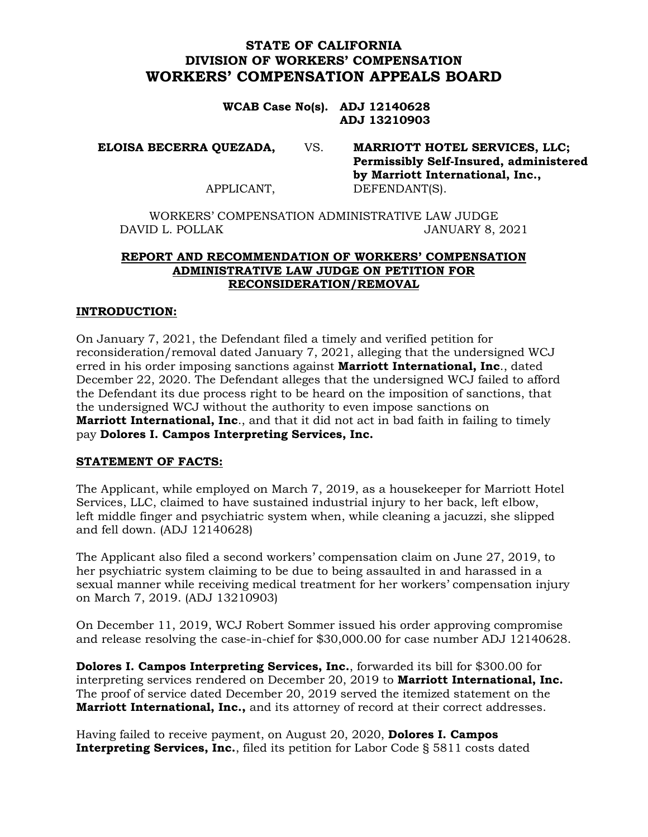# **STATE OF CALIFORNIA DIVISION OF WORKERS' COMPENSATION WORKERS' COMPENSATION APPEALS BOARD**

**WCAB Case No(s). ADJ 12140628 ADJ 13210903**

**ELOISA BECERRA QUEZADA,** VS. **MARRIOTT HOTEL SERVICES, LLC;**

**Permissibly Self-Insured, administered by Marriott International, Inc.,** APPLICANT, DEFENDANT(S).

WORKERS' COMPENSATION ADMINISTRATIVE LAW JUDGE DAVID L. POLLAK JANUARY 8, 2021

# **REPORT AND RECOMMENDATION OF WORKERS' COMPENSATION ADMINISTRATIVE LAW JUDGE ON PETITION FOR RECONSIDERATION/REMOVAL**

## **INTRODUCTION:**

On January 7, 2021, the Defendant filed a timely and verified petition for reconsideration/removal dated January 7, 2021, alleging that the undersigned WCJ erred in his order imposing sanctions against **Marriott International, Inc**., dated December 22, 2020. The Defendant alleges that the undersigned WCJ failed to afford the Defendant its due process right to be heard on the imposition of sanctions, that the undersigned WCJ without the authority to even impose sanctions on **Marriott International, Inc**., and that it did not act in bad faith in failing to timely pay **Dolores I. Campos Interpreting Services, Inc.**

### **STATEMENT OF FACTS:**

The Applicant, while employed on March 7, 2019, as a housekeeper for Marriott Hotel Services, LLC, claimed to have sustained industrial injury to her back, left elbow, left middle finger and psychiatric system when, while cleaning a jacuzzi, she slipped and fell down. (ADJ 12140628)

The Applicant also filed a second workers' compensation claim on June 27, 2019, to her psychiatric system claiming to be due to being assaulted in and harassed in a sexual manner while receiving medical treatment for her workers' compensation injury on March 7, 2019. (ADJ 13210903)

On December 11, 2019, WCJ Robert Sommer issued his order approving compromise and release resolving the case-in-chief for \$30,000.00 for case number ADJ 12140628.

**Dolores I. Campos Interpreting Services, Inc.**, forwarded its bill for \$300.00 for interpreting services rendered on December 20, 2019 to **Marriott International, Inc.** The proof of service dated December 20, 2019 served the itemized statement on the **Marriott International, Inc.,** and its attorney of record at their correct addresses.

Having failed to receive payment, on August 20, 2020, **Dolores I. Campos Interpreting Services, Inc.**, filed its petition for Labor Code § 5811 costs dated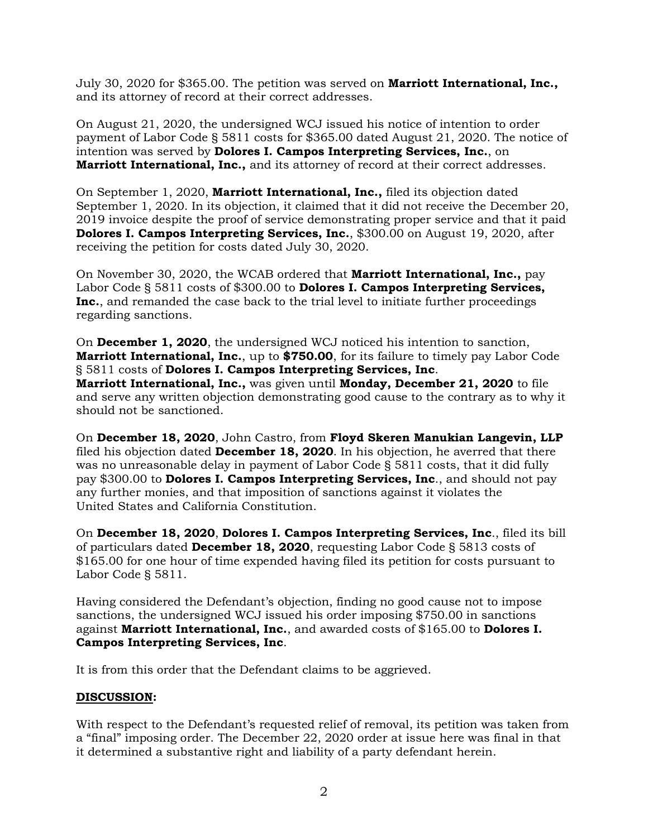July 30, 2020 for \$365.00. The petition was served on **Marriott International, Inc.,**  and its attorney of record at their correct addresses.

On August 21, 2020, the undersigned WCJ issued his notice of intention to order payment of Labor Code § 5811 costs for \$365.00 dated August 21, 2020. The notice of intention was served by **Dolores I. Campos Interpreting Services, Inc.**, on **Marriott International, Inc.,** and its attorney of record at their correct addresses.

On September 1, 2020, **Marriott International, Inc.,** filed its objection dated September 1, 2020. In its objection, it claimed that it did not receive the December 20, 2019 invoice despite the proof of service demonstrating proper service and that it paid **Dolores I. Campos Interpreting Services, Inc.**, \$300.00 on August 19, 2020, after receiving the petition for costs dated July 30, 2020.

On November 30, 2020, the WCAB ordered that **Marriott International, Inc.,** pay Labor Code § 5811 costs of \$300.00 to **Dolores I. Campos Interpreting Services, Inc.**, and remanded the case back to the trial level to initiate further proceedings regarding sanctions.

On **December 1, 2020**, the undersigned WCJ noticed his intention to sanction, **Marriott International, Inc.**, up to **\$750.00**, for its failure to timely pay Labor Code § 5811 costs of **Dolores I. Campos Interpreting Services, Inc**.

**Marriott International, Inc.,** was given until **Monday, December 21, 2020** to file and serve any written objection demonstrating good cause to the contrary as to why it should not be sanctioned.

On **December 18, 2020**, John Castro, from **Floyd Skeren Manukian Langevin, LLP** filed his objection dated **December 18, 2020**. In his objection, he averred that there was no unreasonable delay in payment of Labor Code § 5811 costs, that it did fully pay \$300.00 to **Dolores I. Campos Interpreting Services, Inc**., and should not pay any further monies, and that imposition of sanctions against it violates the United States and California Constitution.

On **December 18, 2020**, **Dolores I. Campos Interpreting Services, Inc**., filed its bill of particulars dated **December 18, 2020**, requesting Labor Code § 5813 costs of \$165.00 for one hour of time expended having filed its petition for costs pursuant to Labor Code § 5811.

Having considered the Defendant's objection, finding no good cause not to impose sanctions, the undersigned WCJ issued his order imposing \$750.00 in sanctions against **Marriott International, Inc.**, and awarded costs of \$165.00 to **Dolores I. Campos Interpreting Services, Inc**.

It is from this order that the Defendant claims to be aggrieved.

## **DISCUSSION:**

With respect to the Defendant's requested relief of removal, its petition was taken from a "final" imposing order. The December 22, 2020 order at issue here was final in that it determined a substantive right and liability of a party defendant herein.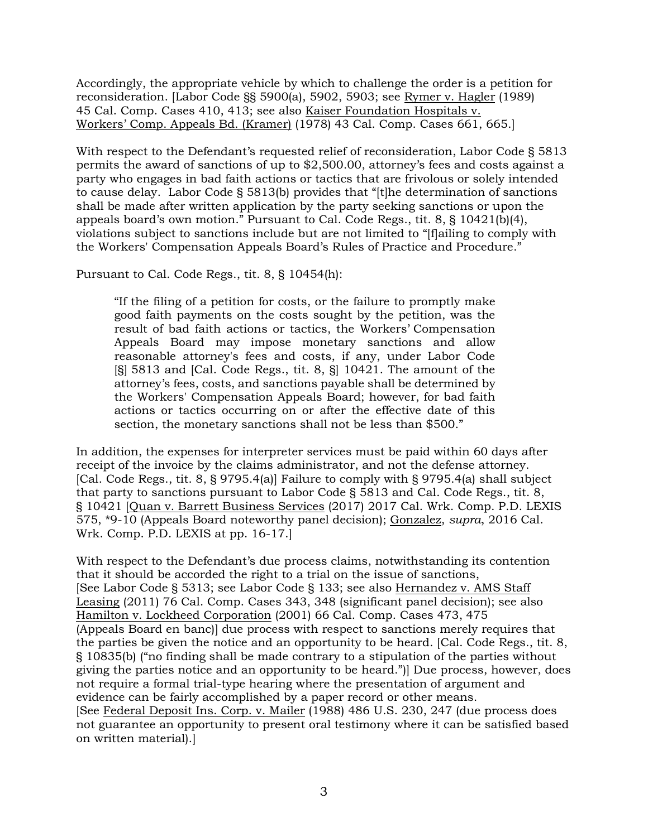Accordingly, the appropriate vehicle by which to challenge the order is a petition for reconsideration. [Labor Code §§ 5900(a), 5902, 5903; see Rymer v. Hagler (1989) 45 Cal. Comp. Cases 410, 413; see also Kaiser Foundation Hospitals v. Workers' Comp. Appeals Bd. (Kramer) (1978) 43 Cal. Comp. Cases 661, 665.]

With respect to the Defendant's requested relief of reconsideration, Labor Code § 5813 permits the award of sanctions of up to \$2,500.00, attorney's fees and costs against a party who engages in bad faith actions or tactics that are frivolous or solely intended to cause delay. Labor Code § 5813(b) provides that "[t]he determination of sanctions shall be made after written application by the party seeking sanctions or upon the appeals board's own motion." Pursuant to Cal. Code Regs., tit.  $8, \frac{8}{10421(b)(4)}$ , violations subject to sanctions include but are not limited to "[f]ailing to comply with the Workers' Compensation Appeals Board's Rules of Practice and Procedure."

Pursuant to Cal. Code Regs., tit. 8, § 10454(h):

"If the filing of a petition for costs, or the failure to promptly make good faith payments on the costs sought by the petition, was the result of bad faith actions or tactics, the Workers' Compensation Appeals Board may impose monetary sanctions and allow reasonable attorney's fees and costs, if any, under Labor Code [§] 5813 and [Cal. Code Regs., tit. 8, §] 10421. The amount of the attorney's fees, costs, and sanctions payable shall be determined by the Workers' Compensation Appeals Board; however, for bad faith actions or tactics occurring on or after the effective date of this section, the monetary sanctions shall not be less than \$500."

In addition, the expenses for interpreter services must be paid within 60 days after receipt of the invoice by the claims administrator, and not the defense attorney. [Cal. Code Regs., tit. 8, § 9795.4(a)] Failure to comply with § 9795.4(a) shall subject that party to sanctions pursuant to Labor Code § 5813 and Cal. Code Regs., tit. 8, § 10421 [Quan v. Barrett Business Services (2017) 2017 Cal. Wrk. Comp. P.D. LEXIS 575, \*9-10 (Appeals Board noteworthy panel decision); Gonzalez, *supra*, 2016 Cal. Wrk. Comp. P.D. LEXIS at pp. 16-17.]

With respect to the Defendant's due process claims, notwithstanding its contention that it should be accorded the right to a trial on the issue of sanctions, [See Labor Code § 5313; see Labor Code § 133; see also Hernandez v. AMS Staff Leasing (2011) 76 Cal. Comp. Cases 343, 348 (significant panel decision); see also Hamilton v. Lockheed Corporation (2001) 66 Cal. Comp. Cases 473, 475 (Appeals Board en banc)] due process with respect to sanctions merely requires that the parties be given the notice and an opportunity to be heard. [Cal. Code Regs., tit. 8, § 10835(b) ("no finding shall be made contrary to a stipulation of the parties without giving the parties notice and an opportunity to be heard.")] Due process, however, does not require a formal trial-type hearing where the presentation of argument and evidence can be fairly accomplished by a paper record or other means. [See Federal Deposit Ins. Corp. v. Mailer (1988) 486 U.S. 230, 247 (due process does not guarantee an opportunity to present oral testimony where it can be satisfied based on written material).]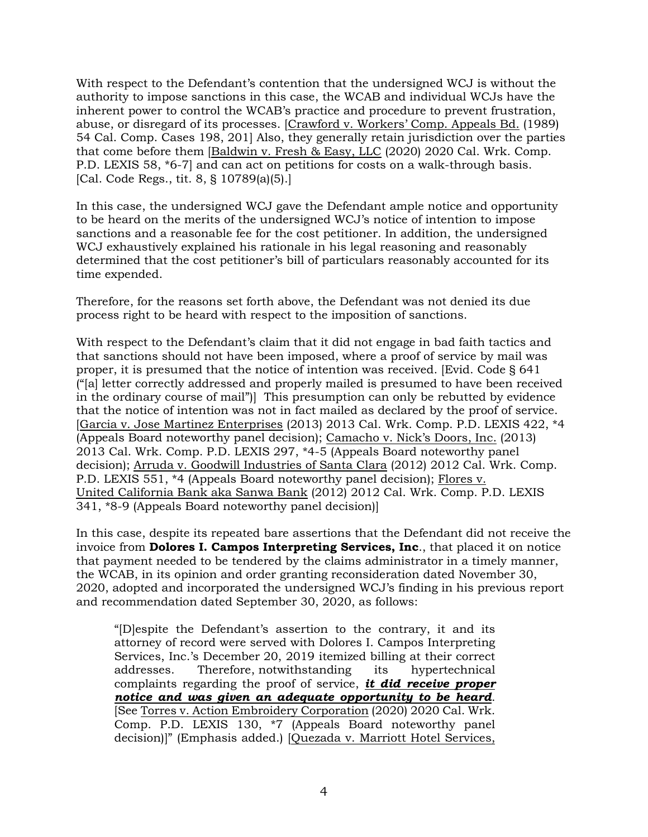With respect to the Defendant's contention that the undersigned WCJ is without the authority to impose sanctions in this case, the WCAB and individual WCJs have the inherent power to control the WCAB's practice and procedure to prevent frustration, abuse, or disregard of its processes. [Crawford v. Workers' Comp. Appeals Bd. (1989) 54 Cal. Comp. Cases 198, 201] Also, they generally retain jurisdiction over the parties that come before them [Baldwin v. Fresh & Easy, LLC (2020) 2020 Cal. Wrk. Comp. P.D. LEXIS 58, \*6-7] and can act on petitions for costs on a walk-through basis. [Cal. Code Regs., tit. 8, § 10789(a)(5).]

In this case, the undersigned WCJ gave the Defendant ample notice and opportunity to be heard on the merits of the undersigned WCJ's notice of intention to impose sanctions and a reasonable fee for the cost petitioner. In addition, the undersigned WCJ exhaustively explained his rationale in his legal reasoning and reasonably determined that the cost petitioner's bill of particulars reasonably accounted for its time expended.

Therefore, for the reasons set forth above, the Defendant was not denied its due process right to be heard with respect to the imposition of sanctions.

With respect to the Defendant's claim that it did not engage in bad faith tactics and that sanctions should not have been imposed, where a proof of service by mail was proper, it is presumed that the notice of intention was received. [Evid. Code § 641 ("[a] letter correctly addressed and properly mailed is presumed to have been received in the ordinary course of mail")] This presumption can only be rebutted by evidence that the notice of intention was not in fact mailed as declared by the proof of service. [Garcia v. Jose Martinez Enterprises (2013) 2013 Cal. Wrk. Comp. P.D. LEXIS 422, \*4 (Appeals Board noteworthy panel decision); Camacho v. Nick's Doors, Inc. (2013) 2013 Cal. Wrk. Comp. P.D. LEXIS 297, \*4-5 (Appeals Board noteworthy panel decision); Arruda v. Goodwill Industries of Santa Clara (2012) 2012 Cal. Wrk. Comp. P.D. LEXIS 551, \*4 (Appeals Board noteworthy panel decision); Flores v. United California Bank aka Sanwa Bank (2012) 2012 Cal. Wrk. Comp. P.D. LEXIS 341, \*8-9 (Appeals Board noteworthy panel decision)]

In this case, despite its repeated bare assertions that the Defendant did not receive the invoice from **Dolores I. Campos Interpreting Services, Inc**., that placed it on notice that payment needed to be tendered by the claims administrator in a timely manner, the WCAB, in its opinion and order granting reconsideration dated November 30, 2020, adopted and incorporated the undersigned WCJ's finding in his previous report and recommendation dated September 30, 2020, as follows:

"[D]espite the Defendant's assertion to the contrary, it and its attorney of record were served with Dolores I. Campos Interpreting Services, Inc.'s December 20, 2019 itemized billing at their correct addresses. Therefore, notwithstanding its hypertechnical complaints regarding the proof of service, *it did receive proper notice and was given an adequate opportunity to be heard*. [See Torres v. Action Embroidery Corporation (2020) 2020 Cal. Wrk. Comp. P.D. LEXIS 130, \*7 (Appeals Board noteworthy panel decision)]" (Emphasis added.) [Quezada v. Marriott Hotel Services,